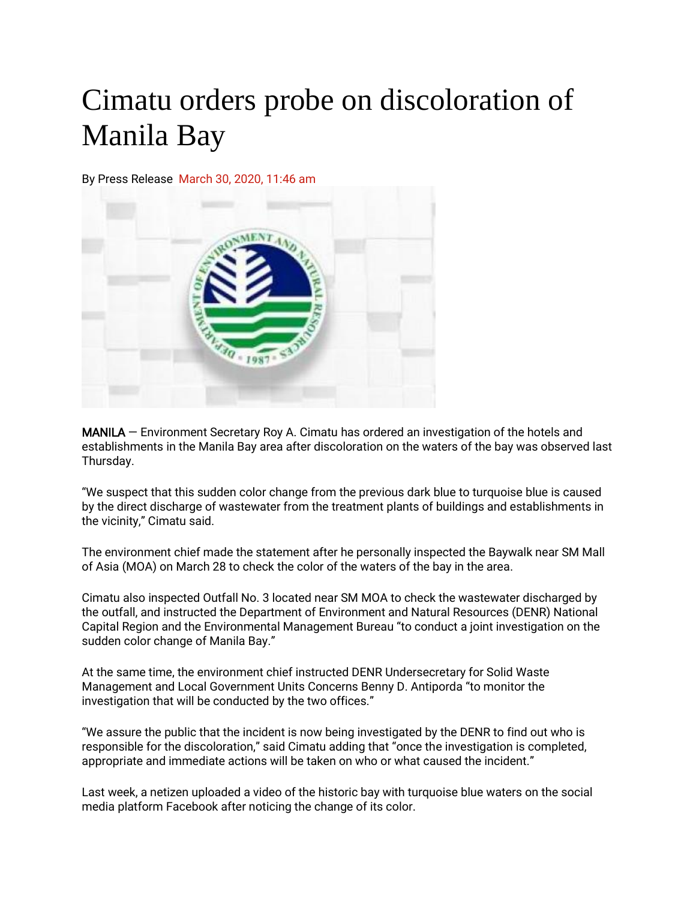## Cimatu orders probe on discoloration of Manila Bay

By Press Release March 30, 2020, 11:46 am



MANILA — Environment Secretary Roy A. Cimatu has ordered an investigation of the hotels and establishments in the Manila Bay area after discoloration on the waters of the bay was observed last Thursday.

"We suspect that this sudden color change from the previous dark blue to turquoise blue is caused by the direct discharge of wastewater from the treatment plants of buildings and establishments in the vicinity," Cimatu said.

The environment chief made the statement after he personally inspected the Baywalk near SM Mall of Asia (MOA) on March 28 to check the color of the waters of the bay in the area.

Cimatu also inspected Outfall No. 3 located near SM MOA to check the wastewater discharged by the outfall, and instructed the Department of Environment and Natural Resources (DENR) National Capital Region and the Environmental Management Bureau "to conduct a joint investigation on the sudden color change of Manila Bay."

At the same time, the environment chief instructed DENR Undersecretary for Solid Waste Management and Local Government Units Concerns Benny D. Antiporda "to monitor the investigation that will be conducted by the two offices."

"We assure the public that the incident is now being investigated by the DENR to find out who is responsible for the discoloration," said Cimatu adding that "once the investigation is completed, appropriate and immediate actions will be taken on who or what caused the incident."

Last week, a netizen uploaded a video of the historic bay with turquoise blue waters on the social media platform Facebook after noticing the change of its color.